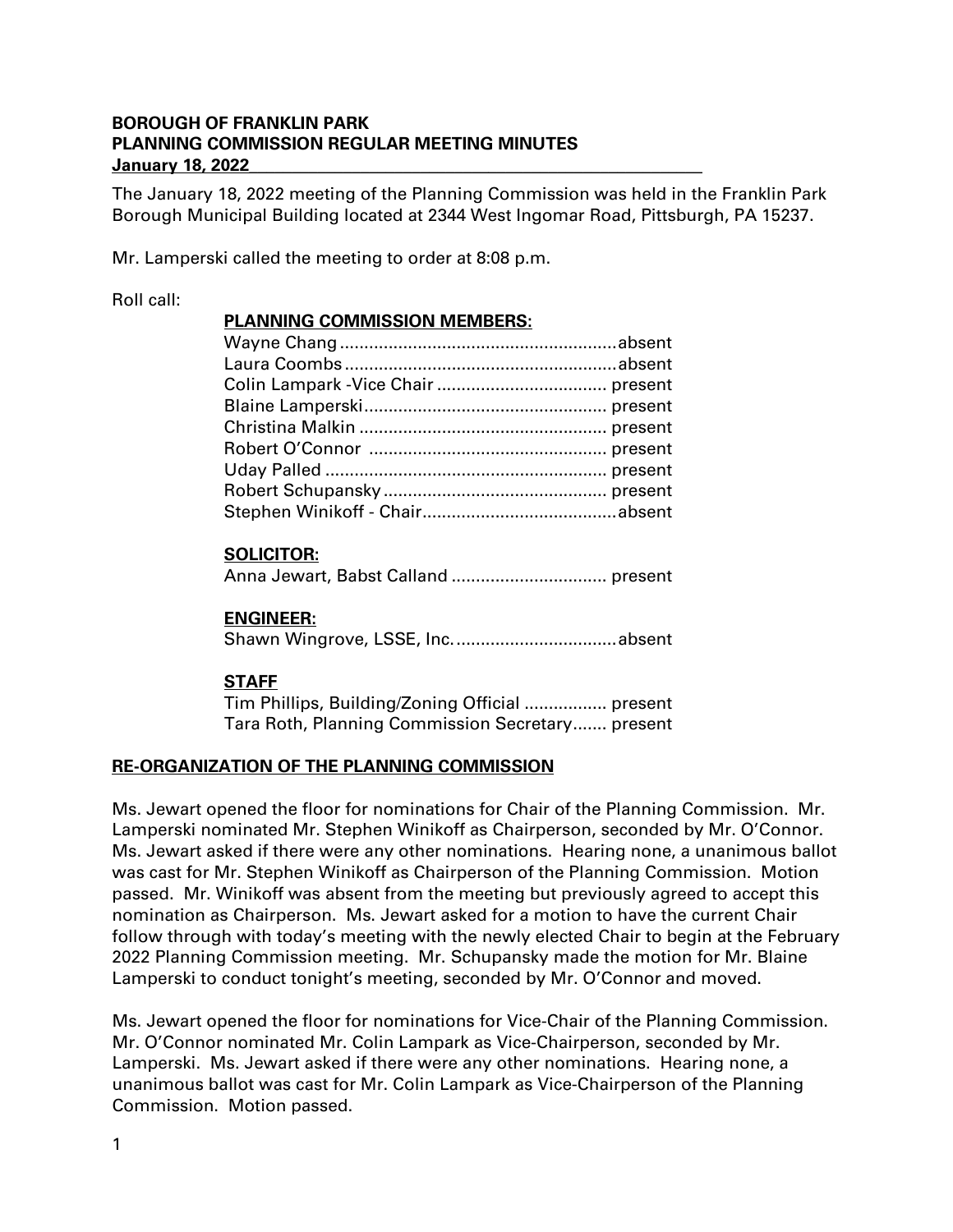### **BOROUGH OF FRANKLIN PARK PLANNING COMMISSION REGULAR MEETING MINUTES January 18, 2022\_\_\_\_\_\_\_\_\_\_\_\_\_\_\_\_\_\_\_\_\_\_\_\_\_\_\_\_\_\_\_\_\_\_\_\_\_\_\_\_\_\_\_\_\_\_\_\_\_\_\_\_\_**

The January 18, 2022 meeting of the Planning Commission was held in the Franklin Park Borough Municipal Building located at 2344 West Ingomar Road, Pittsburgh, PA 15237.

Mr. Lamperski called the meeting to order at 8:08 p.m.

#### Roll call:

#### **PLANNING COMMISSION MEMBERS:**

### **SOLICITOR:**

Anna Jewart, Babst Calland ................................ present

### **ENGINEER:**

Shawn Wingrove, LSSE, Inc..................................absent

### **STAFF**

Tim Phillips, Building/Zoning Official ................. present Tara Roth, Planning Commission Secretary....... present

# **RE-ORGANIZATION OF THE PLANNING COMMISSION**

Ms. Jewart opened the floor for nominations for Chair of the Planning Commission. Mr. Lamperski nominated Mr. Stephen Winikoff as Chairperson, seconded by Mr. O'Connor. Ms. Jewart asked if there were any other nominations. Hearing none, a unanimous ballot was cast for Mr. Stephen Winikoff as Chairperson of the Planning Commission. Motion passed. Mr. Winikoff was absent from the meeting but previously agreed to accept this nomination as Chairperson. Ms. Jewart asked for a motion to have the current Chair follow through with today's meeting with the newly elected Chair to begin at the February 2022 Planning Commission meeting. Mr. Schupansky made the motion for Mr. Blaine Lamperski to conduct tonight's meeting, seconded by Mr. O'Connor and moved.

Ms. Jewart opened the floor for nominations for Vice-Chair of the Planning Commission. Mr. O'Connor nominated Mr. Colin Lampark as Vice-Chairperson, seconded by Mr. Lamperski. Ms. Jewart asked if there were any other nominations. Hearing none, a unanimous ballot was cast for Mr. Colin Lampark as Vice-Chairperson of the Planning Commission. Motion passed.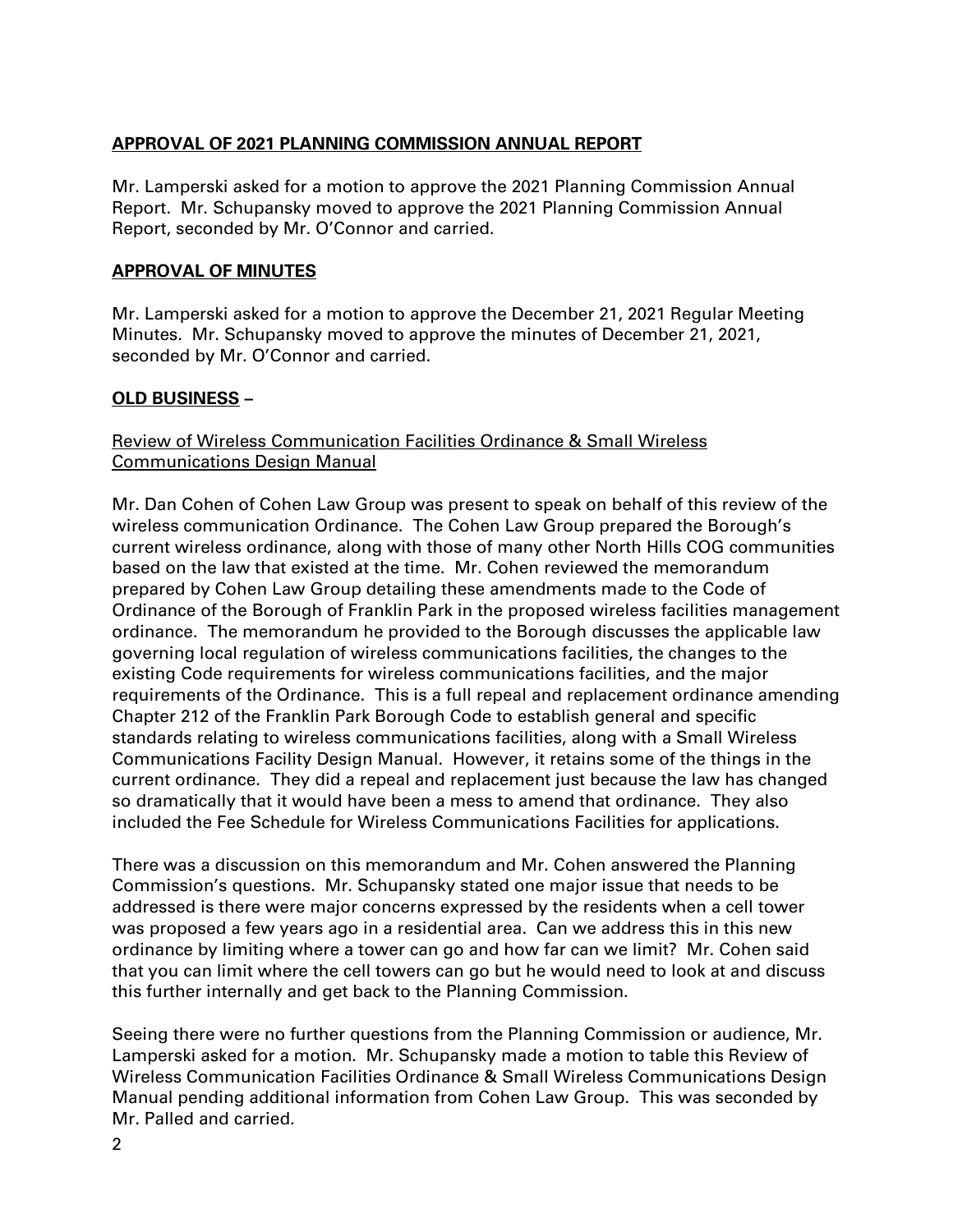### **APPROVAL OF 2021 PLANNING COMMISSION ANNUAL REPORT**

Mr. Lamperski asked for a motion to approve the 2021 Planning Commission Annual Report. Mr. Schupansky moved to approve the 2021 Planning Commission Annual Report, seconded by Mr. O'Connor and carried.

### **APPROVAL OF MINUTES**

Mr. Lamperski asked for a motion to approve the December 21, 2021 Regular Meeting Minutes. Mr. Schupansky moved to approve the minutes of December 21, 2021, seconded by Mr. O'Connor and carried.

### **OLD BUSINESS –**

### Review of Wireless Communication Facilities Ordinance & Small Wireless Communications Design Manual

Mr. Dan Cohen of Cohen Law Group was present to speak on behalf of this review of the wireless communication Ordinance. The Cohen Law Group prepared the Borough's current wireless ordinance, along with those of many other North Hills COG communities based on the law that existed at the time. Mr. Cohen reviewed the memorandum prepared by Cohen Law Group detailing these amendments made to the Code of Ordinance of the Borough of Franklin Park in the proposed wireless facilities management ordinance. The memorandum he provided to the Borough discusses the applicable law governing local regulation of wireless communications facilities, the changes to the existing Code requirements for wireless communications facilities, and the major requirements of the Ordinance. This is a full repeal and replacement ordinance amending Chapter 212 of the Franklin Park Borough Code to establish general and specific standards relating to wireless communications facilities, along with a Small Wireless Communications Facility Design Manual. However, it retains some of the things in the current ordinance. They did a repeal and replacement just because the law has changed so dramatically that it would have been a mess to amend that ordinance. They also included the Fee Schedule for Wireless Communications Facilities for applications.

There was a discussion on this memorandum and Mr. Cohen answered the Planning Commission's questions. Mr. Schupansky stated one major issue that needs to be addressed is there were major concerns expressed by the residents when a cell tower was proposed a few years ago in a residential area. Can we address this in this new ordinance by limiting where a tower can go and how far can we limit? Mr. Cohen said that you can limit where the cell towers can go but he would need to look at and discuss this further internally and get back to the Planning Commission.

Seeing there were no further questions from the Planning Commission or audience, Mr. Lamperski asked for a motion. Mr. Schupansky made a motion to table this Review of Wireless Communication Facilities Ordinance & Small Wireless Communications Design Manual pending additional information from Cohen Law Group. This was seconded by Mr. Palled and carried.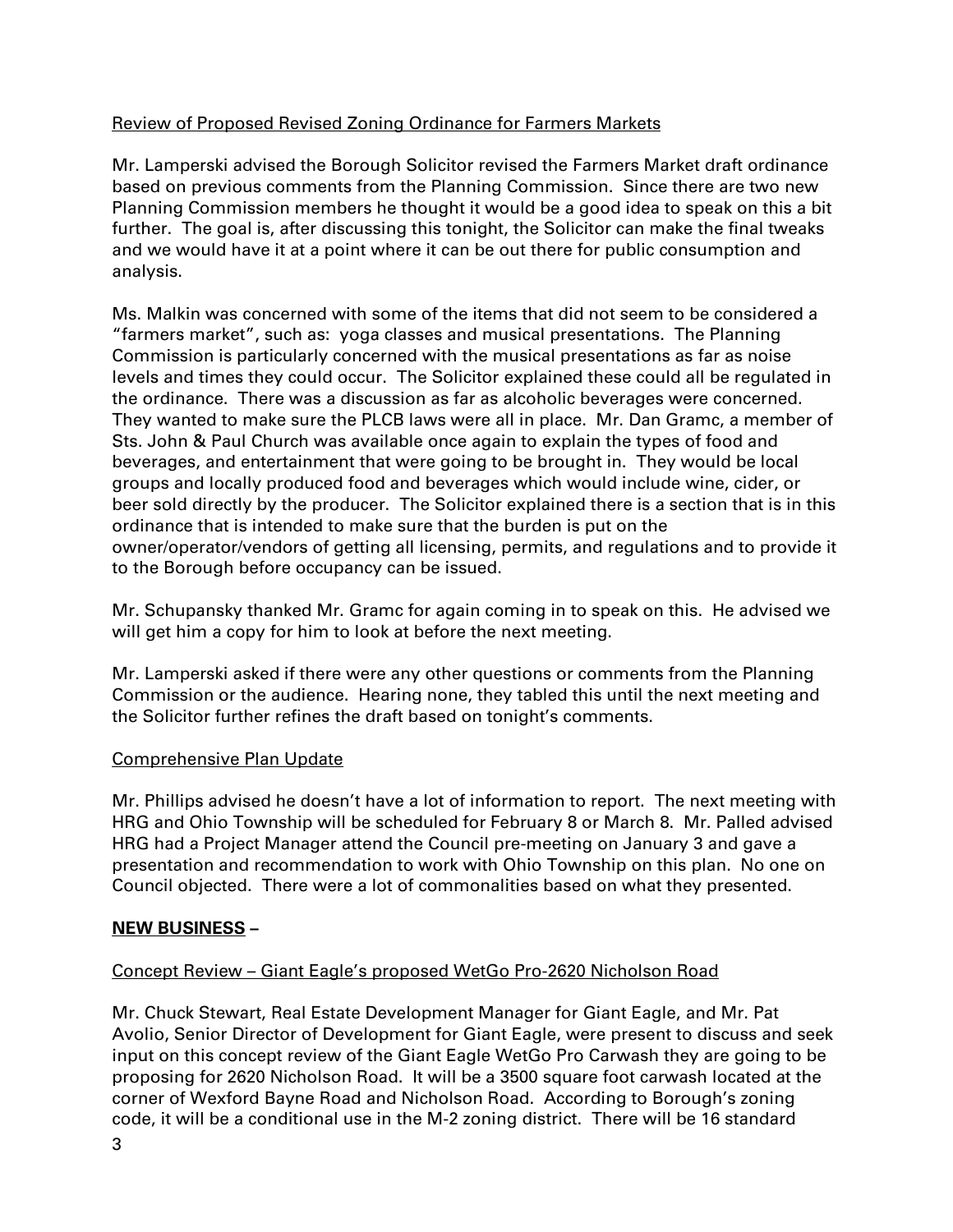# Review of Proposed Revised Zoning Ordinance for Farmers Markets

Mr. Lamperski advised the Borough Solicitor revised the Farmers Market draft ordinance based on previous comments from the Planning Commission. Since there are two new Planning Commission members he thought it would be a good idea to speak on this a bit further. The goal is, after discussing this tonight, the Solicitor can make the final tweaks and we would have it at a point where it can be out there for public consumption and analysis.

Ms. Malkin was concerned with some of the items that did not seem to be considered a "farmers market", such as: yoga classes and musical presentations. The Planning Commission is particularly concerned with the musical presentations as far as noise levels and times they could occur. The Solicitor explained these could all be regulated in the ordinance. There was a discussion as far as alcoholic beverages were concerned. They wanted to make sure the PLCB laws were all in place. Mr. Dan Gramc, a member of Sts. John & Paul Church was available once again to explain the types of food and beverages, and entertainment that were going to be brought in. They would be local groups and locally produced food and beverages which would include wine, cider, or beer sold directly by the producer. The Solicitor explained there is a section that is in this ordinance that is intended to make sure that the burden is put on the owner/operator/vendors of getting all licensing, permits, and regulations and to provide it to the Borough before occupancy can be issued.

Mr. Schupansky thanked Mr. Gramc for again coming in to speak on this. He advised we will get him a copy for him to look at before the next meeting.

Mr. Lamperski asked if there were any other questions or comments from the Planning Commission or the audience. Hearing none, they tabled this until the next meeting and the Solicitor further refines the draft based on tonight's comments.

# Comprehensive Plan Update

Mr. Phillips advised he doesn't have a lot of information to report. The next meeting with HRG and Ohio Township will be scheduled for February 8 or March 8. Mr. Palled advised HRG had a Project Manager attend the Council pre-meeting on January 3 and gave a presentation and recommendation to work with Ohio Township on this plan. No one on Council objected. There were a lot of commonalities based on what they presented.

# **NEW BUSINESS –**

# Concept Review – Giant Eagle's proposed WetGo Pro-2620 Nicholson Road

Mr. Chuck Stewart, Real Estate Development Manager for Giant Eagle, and Mr. Pat Avolio, Senior Director of Development for Giant Eagle, were present to discuss and seek input on this concept review of the Giant Eagle WetGo Pro Carwash they are going to be proposing for 2620 Nicholson Road. It will be a 3500 square foot carwash located at the corner of Wexford Bayne Road and Nicholson Road. According to Borough's zoning code, it will be a conditional use in the M-2 zoning district. There will be 16 standard